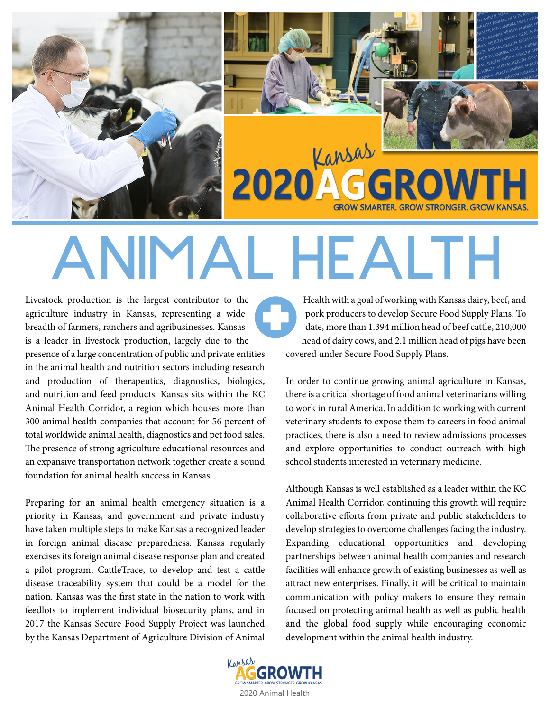



2020 Kansas **GROW SMARTER. GROW STRONGER. GROW KANSA** 

# ANIMAL HEALTH

Livestock production is the largest contributor to the agriculture industry in Kansas, representing a wide breadth of farmers, ranchers and agribusinesses. Kansas is a leader in livestock production, largely due to the presence of a large concentration of public and private entities in the animal health and nutrition sectors including research and production of therapeutics, diagnostics, biologics, and nutrition and feed products. Kansas sits within the KC Animal Health Corridor, a region which houses more than 300 animal health companies that account for 56 percent of total worldwide animal health, diagnostics and pet food sales. The presence of strong agriculture educational resources and an expansive transportation network together create a sound foundation for animal health success in Kansas.

Preparing for an animal health emergency situation is a priority in Kansas, and government and private industry have taken multiple steps to make Kansas a recognized leader in foreign animal disease preparedness. Kansas regularly exercises its foreign animal disease response plan and created a pilot program, CattleTrace, to develop and test a cattle disease traceability system that could be a model for the nation. Kansas was the first state in the nation to work with feedlots to implement individual biosecurity plans, and in 2017 the Kansas Secure Food Supply Project was launched by the Kansas Department of Agriculture Division of Animal

 Health with a goal of working with Kansas dairy, beef, and pork producers to develop Secure Food Supply Plans. To date, more than 1.394 million head of beef cattle, 210,000 head of dairy cows, and 2.1 million head of pigs have been covered under Secure Food Supply Plans.

In order to continue growing animal agriculture in Kansas, there is a critical shortage of food animal veterinarians willing to work in rural America. In addition to working with current veterinary students to expose them to careers in food animal practices, there is also a need to review admissions processes and explore opportunities to conduct outreach with high school students interested in veterinary medicine.

Although Kansas is well established as a leader within the KC Animal Health Corridor, continuing this growth will require collaborative efforts from private and public stakeholders to develop strategies to overcome challenges facing the industry. Expanding educational opportunities and developing partnerships between animal health companies and research facilities will enhance growth of existing businesses as well as attract new enterprises. Finally, it will be critical to maintain communication with policy makers to ensure they remain focused on protecting animal health as well as public health and the global food supply while encouraging economic development within the animal health industry.

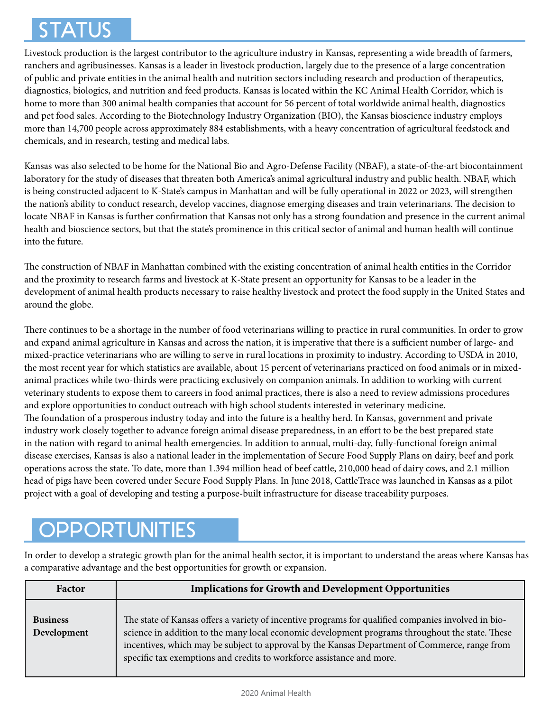# STATUS

Livestock production is the largest contributor to the agriculture industry in Kansas, representing a wide breadth of farmers, ranchers and agribusinesses. Kansas is a leader in livestock production, largely due to the presence of a large concentration of public and private entities in the animal health and nutrition sectors including research and production of therapeutics, diagnostics, biologics, and nutrition and feed products. Kansas is located within the KC Animal Health Corridor, which is home to more than 300 animal health companies that account for 56 percent of total worldwide animal health, diagnostics and pet food sales. According to the Biotechnology Industry Organization (BIO), the Kansas bioscience industry employs more than 14,700 people across approximately 884 establishments, with a heavy concentration of agricultural feedstock and chemicals, and in research, testing and medical labs.

Kansas was also selected to be home for the National Bio and Agro-Defense Facility (NBAF), a state-of-the-art biocontainment laboratory for the study of diseases that threaten both America's animal agricultural industry and public health. NBAF, which is being constructed adjacent to K-State's campus in Manhattan and will be fully operational in 2022 or 2023, will strengthen the nation's ability to conduct research, develop vaccines, diagnose emerging diseases and train veterinarians. The decision to locate NBAF in Kansas is further confirmation that Kansas not only has a strong foundation and presence in the current animal health and bioscience sectors, but that the state's prominence in this critical sector of animal and human health will continue into the future.

The construction of NBAF in Manhattan combined with the existing concentration of animal health entities in the Corridor and the proximity to research farms and livestock at K-State present an opportunity for Kansas to be a leader in the development of animal health products necessary to raise healthy livestock and protect the food supply in the United States and around the globe.

There continues to be a shortage in the number of food veterinarians willing to practice in rural communities. In order to grow and expand animal agriculture in Kansas and across the nation, it is imperative that there is a sufficient number of large- and mixed-practice veterinarians who are willing to serve in rural locations in proximity to industry. According to USDA in 2010, the most recent year for which statistics are available, about 15 percent of veterinarians practiced on food animals or in mixedanimal practices while two-thirds were practicing exclusively on companion animals. In addition to working with current veterinary students to expose them to careers in food animal practices, there is also a need to review admissions procedures and explore opportunities to conduct outreach with high school students interested in veterinary medicine. The foundation of a prosperous industry today and into the future is a healthy herd. In Kansas, government and private industry work closely together to advance foreign animal disease preparedness, in an effort to be the best prepared state in the nation with regard to animal health emergencies. In addition to annual, multi-day, fully-functional foreign animal disease exercises, Kansas is also a national leader in the implementation of Secure Food Supply Plans on dairy, beef and pork operations across the state. To date, more than 1.394 million head of beef cattle, 210,000 head of dairy cows, and 2.1 million head of pigs have been covered under Secure Food Supply Plans. In June 2018, CattleTrace was launched in Kansas as a pilot project with a goal of developing and testing a purpose-built infrastructure for disease traceability purposes.

# **OPPORTUNITIES**

In order to develop a strategic growth plan for the animal health sector, it is important to understand the areas where Kansas has a comparative advantage and the best opportunities for growth or expansion.

| Factor                         | <b>Implications for Growth and Development Opportunities</b>                                                                                                                                                                                                                                                                                                                     |
|--------------------------------|----------------------------------------------------------------------------------------------------------------------------------------------------------------------------------------------------------------------------------------------------------------------------------------------------------------------------------------------------------------------------------|
| <b>Business</b><br>Development | The state of Kansas offers a variety of incentive programs for qualified companies involved in bio-<br>science in addition to the many local economic development programs throughout the state. These<br>incentives, which may be subject to approval by the Kansas Department of Commerce, range from<br>specific tax exemptions and credits to workforce assistance and more. |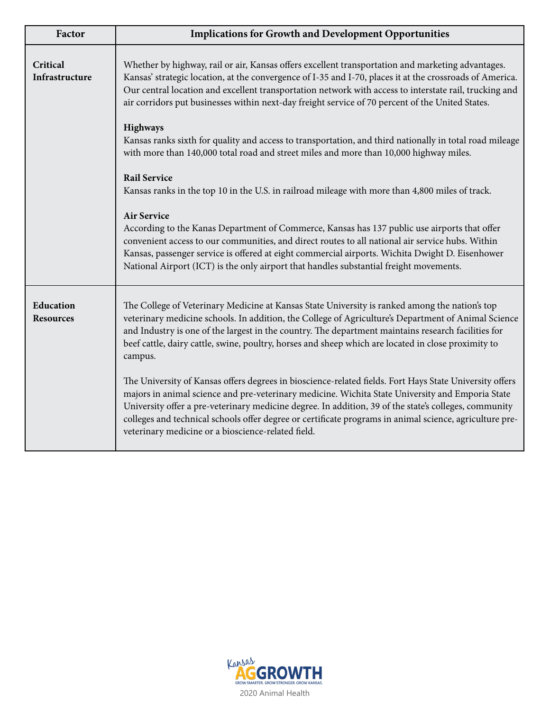| Factor                        | <b>Implications for Growth and Development Opportunities</b>                                                                                                                                                                                                                                                                                                                                                                                                                          |
|-------------------------------|---------------------------------------------------------------------------------------------------------------------------------------------------------------------------------------------------------------------------------------------------------------------------------------------------------------------------------------------------------------------------------------------------------------------------------------------------------------------------------------|
| Critical<br>Infrastructure    | Whether by highway, rail or air, Kansas offers excellent transportation and marketing advantages.<br>Kansas' strategic location, at the convergence of I-35 and I-70, places it at the crossroads of America.<br>Our central location and excellent transportation network with access to interstate rail, trucking and<br>air corridors put businesses within next-day freight service of 70 percent of the United States.                                                           |
|                               | <b>Highways</b><br>Kansas ranks sixth for quality and access to transportation, and third nationally in total road mileage<br>with more than 140,000 total road and street miles and more than 10,000 highway miles.                                                                                                                                                                                                                                                                  |
|                               | <b>Rail Service</b><br>Kansas ranks in the top 10 in the U.S. in railroad mileage with more than 4,800 miles of track.                                                                                                                                                                                                                                                                                                                                                                |
|                               | <b>Air Service</b><br>According to the Kanas Department of Commerce, Kansas has 137 public use airports that offer<br>convenient access to our communities, and direct routes to all national air service hubs. Within<br>Kansas, passenger service is offered at eight commercial airports. Wichita Dwight D. Eisenhower<br>National Airport (ICT) is the only airport that handles substantial freight movements.                                                                   |
| Education<br><b>Resources</b> | The College of Veterinary Medicine at Kansas State University is ranked among the nation's top<br>veterinary medicine schools. In addition, the College of Agriculture's Department of Animal Science<br>and Industry is one of the largest in the country. The department maintains research facilities for<br>beef cattle, dairy cattle, swine, poultry, horses and sheep which are located in close proximity to<br>campus.                                                        |
|                               | The University of Kansas offers degrees in bioscience-related fields. Fort Hays State University offers<br>majors in animal science and pre-veterinary medicine. Wichita State University and Emporia State<br>University offer a pre-veterinary medicine degree. In addition, 39 of the state's colleges, community<br>colleges and technical schools offer degree or certificate programs in animal science, agriculture pre-<br>veterinary medicine or a bioscience-related field. |

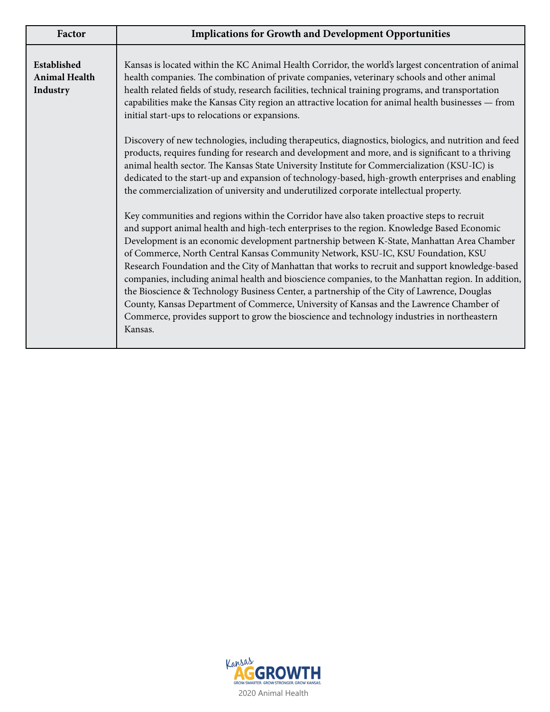| Factor                                          | <b>Implications for Growth and Development Opportunities</b>                                                                                                                                                                                                                                                                                                                                                                                                                                                                                                                                                                                                                                                                                                                                                                                                                             |
|-------------------------------------------------|------------------------------------------------------------------------------------------------------------------------------------------------------------------------------------------------------------------------------------------------------------------------------------------------------------------------------------------------------------------------------------------------------------------------------------------------------------------------------------------------------------------------------------------------------------------------------------------------------------------------------------------------------------------------------------------------------------------------------------------------------------------------------------------------------------------------------------------------------------------------------------------|
| Established<br><b>Animal Health</b><br>Industry | Kansas is located within the KC Animal Health Corridor, the world's largest concentration of animal<br>health companies. The combination of private companies, veterinary schools and other animal<br>health related fields of study, research facilities, technical training programs, and transportation<br>capabilities make the Kansas City region an attractive location for animal health businesses - from<br>initial start-ups to relocations or expansions.                                                                                                                                                                                                                                                                                                                                                                                                                     |
|                                                 | Discovery of new technologies, including therapeutics, diagnostics, biologics, and nutrition and feed<br>products, requires funding for research and development and more, and is significant to a thriving<br>animal health sector. The Kansas State University Institute for Commercialization (KSU-IC) is<br>dedicated to the start-up and expansion of technology-based, high-growth enterprises and enabling<br>the commercialization of university and underutilized corporate intellectual property.                                                                                                                                                                                                                                                                                                                                                                              |
|                                                 | Key communities and regions within the Corridor have also taken proactive steps to recruit<br>and support animal health and high-tech enterprises to the region. Knowledge Based Economic<br>Development is an economic development partnership between K-State, Manhattan Area Chamber<br>of Commerce, North Central Kansas Community Network, KSU-IC, KSU Foundation, KSU<br>Research Foundation and the City of Manhattan that works to recruit and support knowledge-based<br>companies, including animal health and bioscience companies, to the Manhattan region. In addition,<br>the Bioscience & Technology Business Center, a partnership of the City of Lawrence, Douglas<br>County, Kansas Department of Commerce, University of Kansas and the Lawrence Chamber of<br>Commerce, provides support to grow the bioscience and technology industries in northeastern<br>Kansas. |

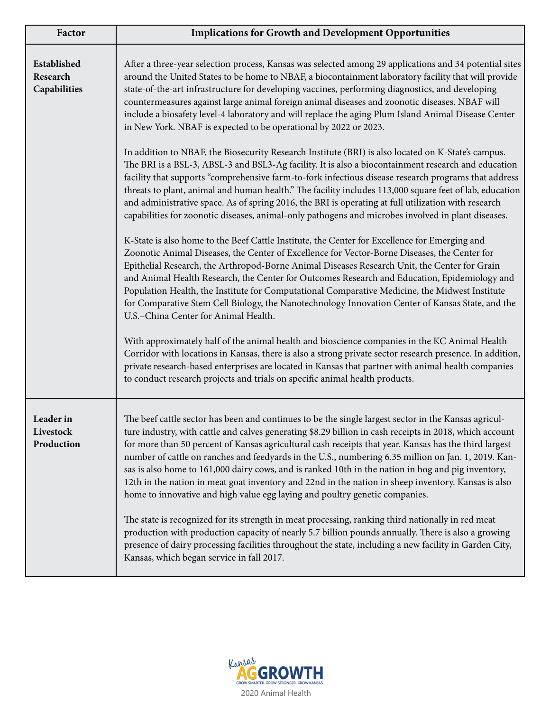| Factor                                  | <b>Implications for Growth and Development Opportunities</b>                                                                                                                                                                                                                                                                                                                                                                                                                                                                                                                                                                                                                                                                |
|-----------------------------------------|-----------------------------------------------------------------------------------------------------------------------------------------------------------------------------------------------------------------------------------------------------------------------------------------------------------------------------------------------------------------------------------------------------------------------------------------------------------------------------------------------------------------------------------------------------------------------------------------------------------------------------------------------------------------------------------------------------------------------------|
| Established<br>Research<br>Capabilities | After a three-year selection process, Kansas was selected among 29 applications and 34 potential sites<br>around the United States to be home to NBAF, a biocontainment laboratory facility that will provide<br>state-of-the-art infrastructure for developing vaccines, performing diagnostics, and developing<br>countermeasures against large animal foreign animal diseases and zoonotic diseases. NBAF will<br>include a biosafety level-4 laboratory and will replace the aging Plum Island Animal Disease Center<br>in New York. NBAF is expected to be operational by 2022 or 2023.                                                                                                                                |
|                                         | In addition to NBAF, the Biosecurity Research Institute (BRI) is also located on K-State's campus.<br>The BRI is a BSL-3, ABSL-3 and BSL3-Ag facility. It is also a biocontainment research and education<br>facility that supports "comprehensive farm-to-fork infectious disease research programs that address<br>threats to plant, animal and human health." The facility includes 113,000 square feet of lab, education<br>and administrative space. As of spring 2016, the BRI is operating at full utilization with research<br>capabilities for zoonotic diseases, animal-only pathogens and microbes involved in plant diseases.                                                                                   |
|                                         | K-State is also home to the Beef Cattle Institute, the Center for Excellence for Emerging and<br>Zoonotic Animal Diseases, the Center of Excellence for Vector-Borne Diseases, the Center for<br>Epithelial Research, the Arthropod-Borne Animal Diseases Research Unit, the Center for Grain<br>and Animal Health Research, the Center for Outcomes Research and Education, Epidemiology and<br>Population Health, the Institute for Computational Comparative Medicine, the Midwest Institute<br>for Comparative Stem Cell Biology, the Nanotechnology Innovation Center of Kansas State, and the<br>U.S.-China Center for Animal Health.                                                                                 |
|                                         | With approximately half of the animal health and bioscience companies in the KC Animal Health<br>Corridor with locations in Kansas, there is also a strong private sector research presence. In addition,<br>private research-based enterprises are located in Kansas that partner with animal health companies<br>to conduct research projects and trials on specific animal health products.                                                                                                                                                                                                                                                                                                                              |
| Leader in<br>Livestock<br>Production    | The beef cattle sector has been and continues to be the single largest sector in the Kansas agricul-<br>ture industry, with cattle and calves generating \$8.29 billion in cash receipts in 2018, which account<br>for more than 50 percent of Kansas agricultural cash receipts that year. Kansas has the third largest<br>number of cattle on ranches and feedyards in the U.S., numbering 6.35 million on Jan. 1, 2019. Kan-<br>sas is also home to 161,000 dairy cows, and is ranked 10th in the nation in hog and pig inventory,<br>12th in the nation in meat goat inventory and 22nd in the nation in sheep inventory. Kansas is also<br>home to innovative and high value egg laying and poultry genetic companies. |
|                                         | The state is recognized for its strength in meat processing, ranking third nationally in red meat<br>production with production capacity of nearly 5.7 billion pounds annually. There is also a growing<br>presence of dairy processing facilities throughout the state, including a new facility in Garden City,<br>Kansas, which began service in fall 2017.                                                                                                                                                                                                                                                                                                                                                              |

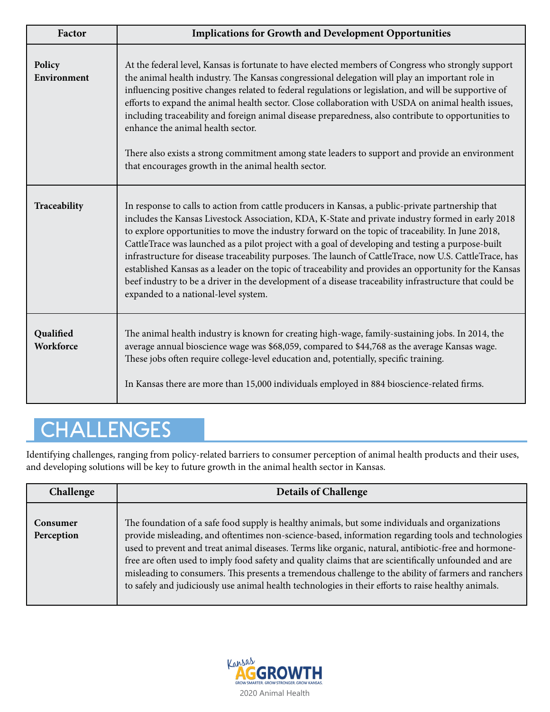| Factor                        | <b>Implications for Growth and Development Opportunities</b>                                                                                                                                                                                                                                                                                                                                                                                                                                                                                                                                                                                                                                                                                                                           |
|-------------------------------|----------------------------------------------------------------------------------------------------------------------------------------------------------------------------------------------------------------------------------------------------------------------------------------------------------------------------------------------------------------------------------------------------------------------------------------------------------------------------------------------------------------------------------------------------------------------------------------------------------------------------------------------------------------------------------------------------------------------------------------------------------------------------------------|
| Policy<br>Environment         | At the federal level, Kansas is fortunate to have elected members of Congress who strongly support<br>the animal health industry. The Kansas congressional delegation will play an important role in<br>influencing positive changes related to federal regulations or legislation, and will be supportive of<br>efforts to expand the animal health sector. Close collaboration with USDA on animal health issues,<br>including traceability and foreign animal disease preparedness, also contribute to opportunities to<br>enhance the animal health sector.<br>There also exists a strong commitment among state leaders to support and provide an environment<br>that encourages growth in the animal health sector.                                                              |
| Traceability                  | In response to calls to action from cattle producers in Kansas, a public-private partnership that<br>includes the Kansas Livestock Association, KDA, K-State and private industry formed in early 2018<br>to explore opportunities to move the industry forward on the topic of traceability. In June 2018,<br>CattleTrace was launched as a pilot project with a goal of developing and testing a purpose-built<br>infrastructure for disease traceability purposes. The launch of CattleTrace, now U.S. CattleTrace, has<br>established Kansas as a leader on the topic of traceability and provides an opportunity for the Kansas<br>beef industry to be a driver in the development of a disease traceability infrastructure that could be<br>expanded to a national-level system. |
| Qualified<br><b>Workforce</b> | The animal health industry is known for creating high-wage, family-sustaining jobs. In 2014, the<br>average annual bioscience wage was \$68,059, compared to \$44,768 as the average Kansas wage.<br>These jobs often require college-level education and, potentially, specific training.<br>In Kansas there are more than 15,000 individuals employed in 884 bioscience-related firms.                                                                                                                                                                                                                                                                                                                                                                                               |

# **CHALLENGES**

Identifying challenges, ranging from policy-related barriers to consumer perception of animal health products and their uses, and developing solutions will be key to future growth in the animal health sector in Kansas.

| Challenge              | <b>Details of Challenge</b>                                                                                                                                                                                                                                                                                                                                                                                                                                                                                                                                                                                                           |
|------------------------|---------------------------------------------------------------------------------------------------------------------------------------------------------------------------------------------------------------------------------------------------------------------------------------------------------------------------------------------------------------------------------------------------------------------------------------------------------------------------------------------------------------------------------------------------------------------------------------------------------------------------------------|
| Consumer<br>Perception | The foundation of a safe food supply is healthy animals, but some individuals and organizations<br>provide misleading, and oftentimes non-science-based, information regarding tools and technologies<br>used to prevent and treat animal diseases. Terms like organic, natural, antibiotic-free and hormone-<br>free are often used to imply food safety and quality claims that are scientifically unfounded and are<br>misleading to consumers. This presents a tremendous challenge to the ability of farmers and ranchers<br>to safely and judiciously use animal health technologies in their efforts to raise healthy animals. |

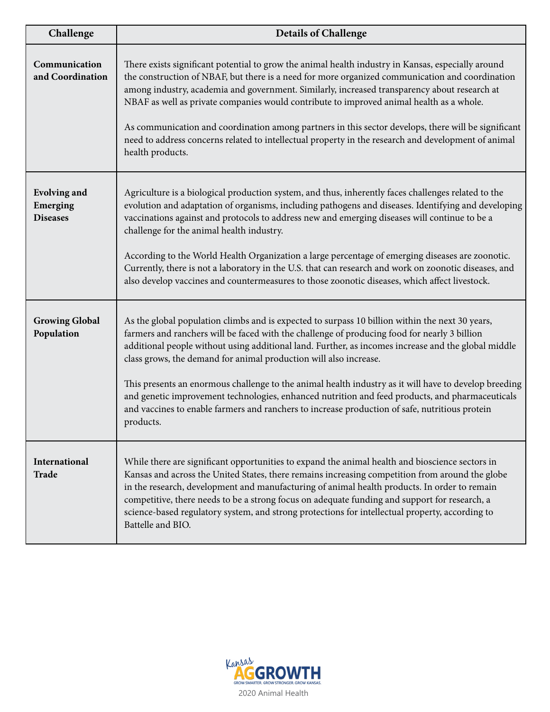| Challenge                                          | <b>Details of Challenge</b>                                                                                                                                                                                                                                                                                                                                                                                                                                                                                                                                                                                                                                                                            |
|----------------------------------------------------|--------------------------------------------------------------------------------------------------------------------------------------------------------------------------------------------------------------------------------------------------------------------------------------------------------------------------------------------------------------------------------------------------------------------------------------------------------------------------------------------------------------------------------------------------------------------------------------------------------------------------------------------------------------------------------------------------------|
| Communication<br>and Coordination                  | There exists significant potential to grow the animal health industry in Kansas, especially around<br>the construction of NBAF, but there is a need for more organized communication and coordination<br>among industry, academia and government. Similarly, increased transparency about research at<br>NBAF as well as private companies would contribute to improved animal health as a whole.<br>As communication and coordination among partners in this sector develops, there will be significant<br>need to address concerns related to intellectual property in the research and development of animal<br>health products.                                                                    |
| <b>Evolving and</b><br>Emerging<br><b>Diseases</b> | Agriculture is a biological production system, and thus, inherently faces challenges related to the<br>evolution and adaptation of organisms, including pathogens and diseases. Identifying and developing<br>vaccinations against and protocols to address new and emerging diseases will continue to be a<br>challenge for the animal health industry.<br>According to the World Health Organization a large percentage of emerging diseases are zoonotic.<br>Currently, there is not a laboratory in the U.S. that can research and work on zoonotic diseases, and<br>also develop vaccines and countermeasures to those zoonotic diseases, which affect livestock.                                 |
| <b>Growing Global</b><br>Population                | As the global population climbs and is expected to surpass 10 billion within the next 30 years,<br>farmers and ranchers will be faced with the challenge of producing food for nearly 3 billion<br>additional people without using additional land. Further, as incomes increase and the global middle<br>class grows, the demand for animal production will also increase.<br>This presents an enormous challenge to the animal health industry as it will have to develop breeding<br>and genetic improvement technologies, enhanced nutrition and feed products, and pharmaceuticals<br>and vaccines to enable farmers and ranchers to increase production of safe, nutritious protein<br>products. |
| International<br><b>Trade</b>                      | While there are significant opportunities to expand the animal health and bioscience sectors in<br>Kansas and across the United States, there remains increasing competition from around the globe<br>in the research, development and manufacturing of animal health products. In order to remain<br>competitive, there needs to be a strong focus on adequate funding and support for research, a<br>science-based regulatory system, and strong protections for intellectual property, according to<br>Battelle and BIO.                                                                                                                                                                            |

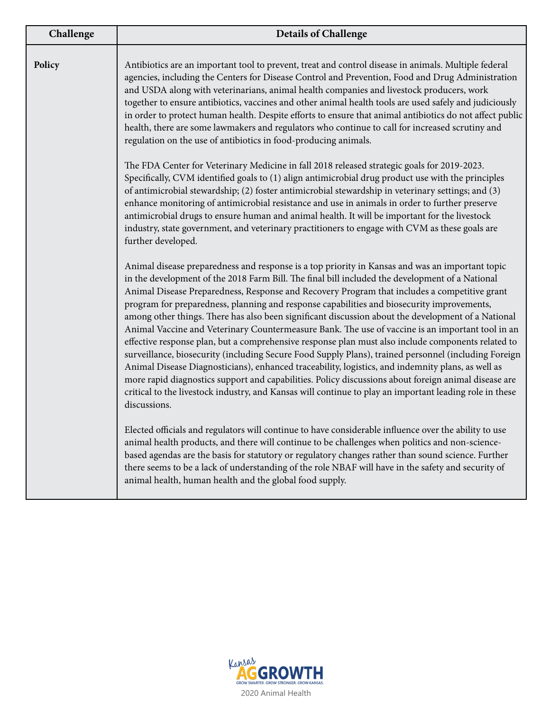| Challenge | <b>Details of Challenge</b>                                                                                                                                                                                                                                                                                                                                                                                                                                                                                                                                                                                                                                                                                                                                                                                                                                                                                                                                                                                                                                                                                                                                      |
|-----------|------------------------------------------------------------------------------------------------------------------------------------------------------------------------------------------------------------------------------------------------------------------------------------------------------------------------------------------------------------------------------------------------------------------------------------------------------------------------------------------------------------------------------------------------------------------------------------------------------------------------------------------------------------------------------------------------------------------------------------------------------------------------------------------------------------------------------------------------------------------------------------------------------------------------------------------------------------------------------------------------------------------------------------------------------------------------------------------------------------------------------------------------------------------|
| Policy    | Antibiotics are an important tool to prevent, treat and control disease in animals. Multiple federal<br>agencies, including the Centers for Disease Control and Prevention, Food and Drug Administration<br>and USDA along with veterinarians, animal health companies and livestock producers, work<br>together to ensure antibiotics, vaccines and other animal health tools are used safely and judiciously<br>in order to protect human health. Despite efforts to ensure that animal antibiotics do not affect public<br>health, there are some lawmakers and regulators who continue to call for increased scrutiny and<br>regulation on the use of antibiotics in food-producing animals.                                                                                                                                                                                                                                                                                                                                                                                                                                                                 |
|           | The FDA Center for Veterinary Medicine in fall 2018 released strategic goals for 2019-2023.<br>Specifically, CVM identified goals to (1) align antimicrobial drug product use with the principles<br>of antimicrobial stewardship; (2) foster antimicrobial stewardship in veterinary settings; and (3)<br>enhance monitoring of antimicrobial resistance and use in animals in order to further preserve<br>antimicrobial drugs to ensure human and animal health. It will be important for the livestock<br>industry, state government, and veterinary practitioners to engage with CVM as these goals are<br>further developed.                                                                                                                                                                                                                                                                                                                                                                                                                                                                                                                               |
|           | Animal disease preparedness and response is a top priority in Kansas and was an important topic<br>in the development of the 2018 Farm Bill. The final bill included the development of a National<br>Animal Disease Preparedness, Response and Recovery Program that includes a competitive grant<br>program for preparedness, planning and response capabilities and biosecurity improvements,<br>among other things. There has also been significant discussion about the development of a National<br>Animal Vaccine and Veterinary Countermeasure Bank. The use of vaccine is an important tool in an<br>effective response plan, but a comprehensive response plan must also include components related to<br>surveillance, biosecurity (including Secure Food Supply Plans), trained personnel (including Foreign<br>Animal Disease Diagnosticians), enhanced traceability, logistics, and indemnity plans, as well as<br>more rapid diagnostics support and capabilities. Policy discussions about foreign animal disease are<br>critical to the livestock industry, and Kansas will continue to play an important leading role in these<br>discussions. |
|           | Elected officials and regulators will continue to have considerable influence over the ability to use<br>animal health products, and there will continue to be challenges when politics and non-science-<br>based agendas are the basis for statutory or regulatory changes rather than sound science. Further<br>there seems to be a lack of understanding of the role NBAF will have in the safety and security of<br>animal health, human health and the global food supply.                                                                                                                                                                                                                                                                                                                                                                                                                                                                                                                                                                                                                                                                                  |

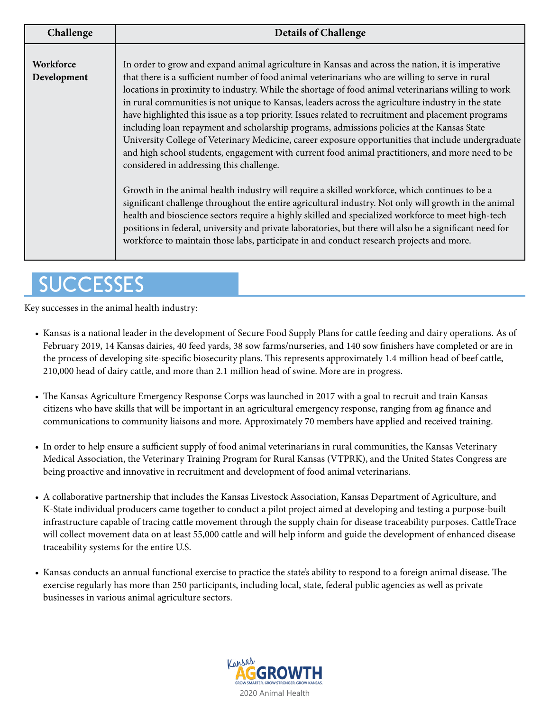| Challenge                | <b>Details of Challenge</b>                                                                                                                                                                                                                                                                                                                                                                                                                                                                                                                                                                                                                                                                                                                                                                                                                                                                                                                                                                                                                                                                                                                                                                                                                                                                                                                                                                            |
|--------------------------|--------------------------------------------------------------------------------------------------------------------------------------------------------------------------------------------------------------------------------------------------------------------------------------------------------------------------------------------------------------------------------------------------------------------------------------------------------------------------------------------------------------------------------------------------------------------------------------------------------------------------------------------------------------------------------------------------------------------------------------------------------------------------------------------------------------------------------------------------------------------------------------------------------------------------------------------------------------------------------------------------------------------------------------------------------------------------------------------------------------------------------------------------------------------------------------------------------------------------------------------------------------------------------------------------------------------------------------------------------------------------------------------------------|
| Workforce<br>Development | In order to grow and expand animal agriculture in Kansas and across the nation, it is imperative<br>that there is a sufficient number of food animal veterinarians who are willing to serve in rural<br>locations in proximity to industry. While the shortage of food animal veterinarians willing to work<br>in rural communities is not unique to Kansas, leaders across the agriculture industry in the state<br>have highlighted this issue as a top priority. Issues related to recruitment and placement programs<br>including loan repayment and scholarship programs, admissions policies at the Kansas State<br>University College of Veterinary Medicine, career exposure opportunities that include undergraduate<br>and high school students, engagement with current food animal practitioners, and more need to be<br>considered in addressing this challenge.<br>Growth in the animal health industry will require a skilled workforce, which continues to be a<br>significant challenge throughout the entire agricultural industry. Not only will growth in the animal<br>health and bioscience sectors require a highly skilled and specialized workforce to meet high-tech<br>positions in federal, university and private laboratories, but there will also be a significant need for<br>workforce to maintain those labs, participate in and conduct research projects and more. |

# **SUCCESSES**

Key successes in the animal health industry:

- Kansas is a national leader in the development of Secure Food Supply Plans for cattle feeding and dairy operations. As of February 2019, 14 Kansas dairies, 40 feed yards, 38 sow farms/nurseries, and 140 sow finishers have completed or are in the process of developing site-specific biosecurity plans. This represents approximately 1.4 million head of beef cattle, 210,000 head of dairy cattle, and more than 2.1 million head of swine. More are in progress.
- The Kansas Agriculture Emergency Response Corps was launched in 2017 with a goal to recruit and train Kansas citizens who have skills that will be important in an agricultural emergency response, ranging from ag finance and communications to community liaisons and more. Approximately 70 members have applied and received training.
- In order to help ensure a sufficient supply of food animal veterinarians in rural communities, the Kansas Veterinary Medical Association, the Veterinary Training Program for Rural Kansas (VTPRK), and the United States Congress are being proactive and innovative in recruitment and development of food animal veterinarians.
- A collaborative partnership that includes the Kansas Livestock Association, Kansas Department of Agriculture, and K-State individual producers came together to conduct a pilot project aimed at developing and testing a purpose-built infrastructure capable of tracing cattle movement through the supply chain for disease traceability purposes. CattleTrace will collect movement data on at least 55,000 cattle and will help inform and guide the development of enhanced disease traceability systems for the entire U.S.
- Kansas conducts an annual functional exercise to practice the state's ability to respond to a foreign animal disease. The exercise regularly has more than 250 participants, including local, state, federal public agencies as well as private businesses in various animal agriculture sectors.

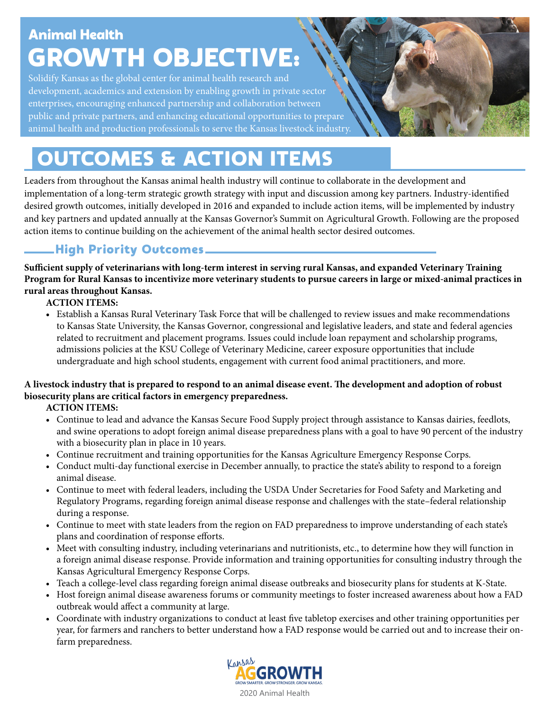# Animal Health GROWTH OBJECTIVE:

Solidify Kansas as the global center for animal health research and development, academics and extension by enabling growth in private sector enterprises, encouraging enhanced partnership and collaboration between public and private partners, and enhancing educational opportunities to prepare animal health and production professionals to serve the Kansas livestock industry.

# OUTCOMES & ACTION ITEMS

Leaders from throughout the Kansas animal health industry will continue to collaborate in the development and implementation of a long-term strategic growth strategy with input and discussion among key partners. Industry-identified desired growth outcomes, initially developed in 2016 and expanded to include action items, will be implemented by industry and key partners and updated annually at the Kansas Governor's Summit on Agricultural Growth. Following are the proposed action items to continue building on the achievement of the animal health sector desired outcomes.

## High Priority Outcomes

**Sufficient supply of veterinarians with long-term interest in serving rural Kansas, and expanded Veterinary Training Program for Rural Kansas to incentivize more veterinary students to pursue careers in large or mixed-animal practices in rural areas throughout Kansas.**

**ACTION ITEMS:**

**•** Establish a Kansas Rural Veterinary Task Force that will be challenged to review issues and make recommendations to Kansas State University, the Kansas Governor, congressional and legislative leaders, and state and federal agencies related to recruitment and placement programs. Issues could include loan repayment and scholarship programs, admissions policies at the KSU College of Veterinary Medicine, career exposure opportunities that include undergraduate and high school students, engagement with current food animal practitioners, and more.

## **A livestock industry that is prepared to respond to an animal disease event. The development and adoption of robust biosecurity plans are critical factors in emergency preparedness.**

**ACTION ITEMS:**

- **•** Continue to lead and advance the Kansas Secure Food Supply project through assistance to Kansas dairies, feedlots, and swine operations to adopt foreign animal disease preparedness plans with a goal to have 90 percent of the industry with a biosecurity plan in place in 10 years.
- Continue recruitment and training opportunities for the Kansas Agriculture Emergency Response Corps.
- Conduct multi-day functional exercise in December annually, to practice the state's ability to respond to a foreign animal disease.
- Continue to meet with federal leaders, including the USDA Under Secretaries for Food Safety and Marketing and Regulatory Programs, regarding foreign animal disease response and challenges with the state–federal relationship during a response.
- Continue to meet with state leaders from the region on FAD preparedness to improve understanding of each state's plans and coordination of response efforts.
- Meet with consulting industry, including veterinarians and nutritionists, etc., to determine how they will function in a foreign animal disease response. Provide information and training opportunities for consulting industry through the Kansas Agricultural Emergency Response Corps.
- Teach a college-level class regarding foreign animal disease outbreaks and biosecurity plans for students at K-State.
- Host foreign animal disease awareness forums or community meetings to foster increased awareness about how a FAD outbreak would affect a community at large.
- Coordinate with industry organizations to conduct at least five tabletop exercises and other training opportunities per year, for farmers and ranchers to better understand how a FAD response would be carried out and to increase their on farm preparedness.

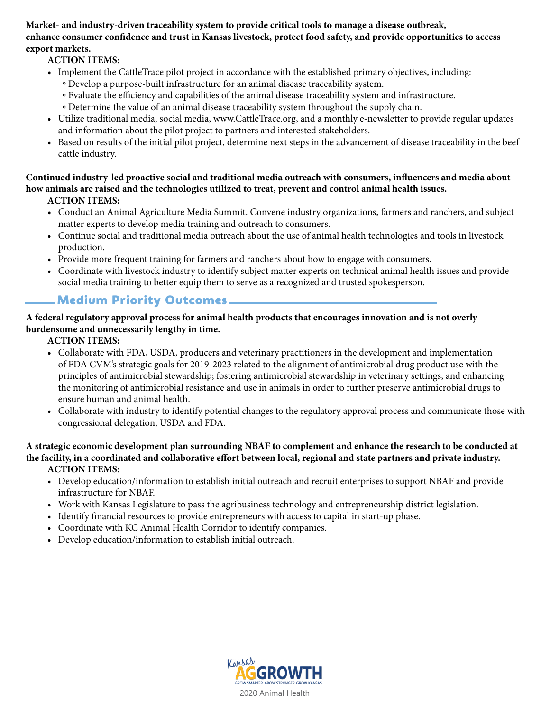**Market- and industry-driven traceability system to provide critical tools to manage a disease outbreak, enhance consumer confidence and trust in Kansas livestock, protect food safety, and provide opportunities to access export markets.**

## **ACTION ITEMS:**

- **•** Implement the CattleTrace pilot project in accordance with the established primary objectives, including: o Develop a purpose-built infrastructure for an animal disease traceability system.
	- o Evaluate the efficiency and capabilities of the animal disease traceability system and infrastructure.
	- o Determine the value of an animal disease traceability system throughout the supply chain.
- Utilize traditional media, social media, www.CattleTrace.org, and a monthly e-newsletter to provide regular updates and information about the pilot project to partners and interested stakeholders.
- Based on results of the initial pilot project, determine next steps in the advancement of disease traceability in the beef cattle industry.

**Continued industry-led proactive social and traditional media outreach with consumers, influencers and media about how animals are raised and the technologies utilized to treat, prevent and control animal health issues. ACTION ITEMS:**

- **•** Conduct an Animal Agriculture Media Summit. Convene industry organizations, farmers and ranchers, and subject matter experts to develop media training and outreach to consumers.
- Continue social and traditional media outreach about the use of animal health technologies and tools in livestock production.
- Provide more frequent training for farmers and ranchers about how to engage with consumers.
- Coordinate with livestock industry to identify subject matter experts on technical animal health issues and provide social media training to better equip them to serve as a recognized and trusted spokesperson.

## Medium Priority Outcomes

### **A federal regulatory approval process for animal health products that encourages innovation and is not overly burdensome and unnecessarily lengthy in time.**

**ACTION ITEMS:**

- **•** Collaborate with FDA, USDA, producers and veterinary practitioners in the development and implementation of FDA CVM's strategic goals for 2019-2023 related to the alignment of antimicrobial drug product use with the principles of antimicrobial stewardship; fostering antimicrobial stewardship in veterinary settings, and enhancing the monitoring of antimicrobial resistance and use in animals in order to further preserve antimicrobial drugs to ensure human and animal health.
- Collaborate with industry to identify potential changes to the regulatory approval process and communicate those with congressional delegation, USDA and FDA.

**A strategic economic development plan surrounding NBAF to complement and enhance the research to be conducted at the facility, in a coordinated and collaborative effort between local, regional and state partners and private industry. ACTION ITEMS:**

- Develop education/information to establish initial outreach and recruit enterprises to support NBAF and provide infrastructure for NBAF.
- Work with Kansas Legislature to pass the agribusiness technology and entrepreneurship district legislation.
- Identify financial resources to provide entrepreneurs with access to capital in start-up phase.
- Coordinate with KC Animal Health Corridor to identify companies.
- Develop education/information to establish initial outreach.